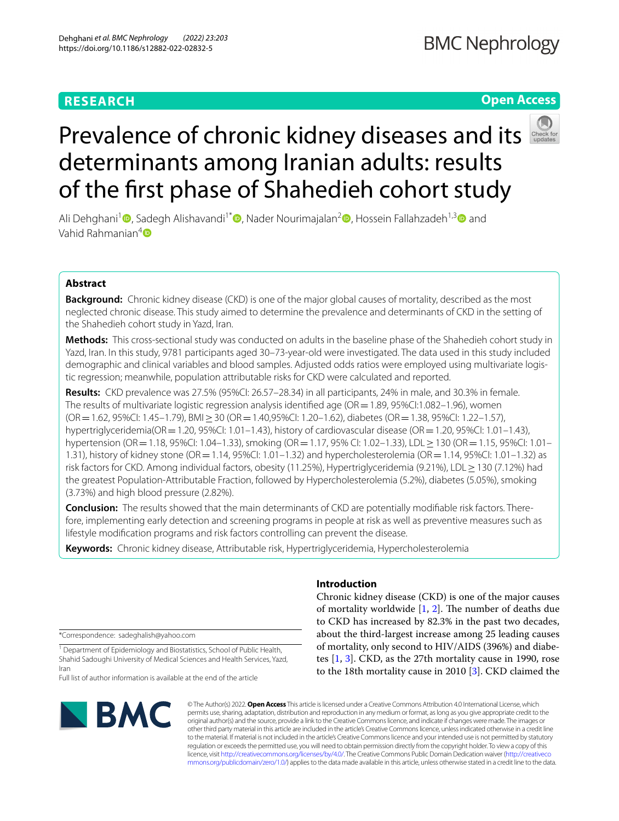# **RESEARCH**

# **Open Access**



# Prevalence of chronic kidney diseases and its determinants among Iranian adults: results of the frst phase of Shahedieh cohort study

Ali Dehghani<sup>[1](https://orcid.org/0000-0001-9355-8035)</sup> , Sadegh Alishavandi<sup>1[\\*](https://orcid.org/0000-0002-3008-2065)</sup> , Nader Nourimajalan<sup>[2](https://orcid.org/0000-0002-4923-9675)</sup> , Hossein Fallahzadeh<sup>1,3</sup> and Vahid Rahmanian $4\blacksquare$ 

# **Abstract**

**Background:** Chronic kidney disease (CKD) is one of the major global causes of mortality, described as the most neglected chronic disease. This study aimed to determine the prevalence and determinants of CKD in the setting of the Shahedieh cohort study in Yazd, Iran.

**Methods:** This cross-sectional study was conducted on adults in the baseline phase of the Shahedieh cohort study in Yazd, Iran. In this study, 9781 participants aged 30–73-year-old were investigated. The data used in this study included demographic and clinical variables and blood samples. Adjusted odds ratios were employed using multivariate logistic regression; meanwhile, population attributable risks for CKD were calculated and reported.

**Results:** CKD prevalence was 27.5% (95%CI: 26.57–28.34) in all participants, 24% in male, and 30.3% in female. The results of multivariate logistic regression analysis identified age ( $OR = 1.89$ ,  $95\%$ CI:1.082–1.96), women (OR=1.62, 95%CI: 1.45–1.79), BMI≥30 (OR=1.40,95%CI: 1.20–1.62), diabetes (OR=1.38, 95%CI: 1.22–1.57), hypertriglyceridemia(OR=1.20, 95%CI: 1.01–1.43), history of cardiovascular disease (OR=1.20, 95%CI: 1.01–1.43), hypertension (OR=1.18, 95%CI: 1.04–1.33), smoking (OR=1.17, 95% CI: 1.02–1.33), LDL≥130 (OR=1.15, 95%CI: 1.01– 1.31), history of kidney stone (OR=1.14, 95%CI: 1.01–1.32) and hypercholesterolemia (OR=1.14, 95%CI: 1.01–1.32) as risk factors for CKD. Among individual factors, obesity (11.25%), Hypertriglyceridemia (9.21%), LDL≥130 (7.12%) had the greatest Population-Attributable Fraction, followed by Hypercholesterolemia (5.2%), diabetes (5.05%), smoking (3.73%) and high blood pressure (2.82%).

**Conclusion:** The results showed that the main determinants of CKD are potentially modifable risk factors. Therefore, implementing early detection and screening programs in people at risk as well as preventive measures such as lifestyle modifcation programs and risk factors controlling can prevent the disease.

**Keywords:** Chronic kidney disease, Attributable risk, Hypertriglyceridemia, Hypercholesterolemia

\*Correspondence: sadeghalish@yahoo.com

<sup>1</sup> Department of Epidemiology and Biostatistics, School of Public Health, Shahid Sadoughi University of Medical Sciences and Health Services, Yazd, Iran

Full list of author information is available at the end of the article



## **Introduction**

Chronic kidney disease (CKD) is one of the major causes of mortality worldwide  $[1, 2]$  $[1, 2]$  $[1, 2]$  $[1, 2]$ . The number of deaths due to CKD has increased by 82.3% in the past two decades, about the third-largest increase among 25 leading causes of mortality, only second to HIV/AIDS (396%) and diabetes [\[1](#page-9-0), [3](#page-9-2)]. CKD, as the 27th mortality cause in 1990, rose to the 18th mortality cause in 2010 [\[3](#page-9-2)]. CKD claimed the

© The Author(s) 2022. **Open Access** This article is licensed under a Creative Commons Attribution 4.0 International License, which permits use, sharing, adaptation, distribution and reproduction in any medium or format, as long as you give appropriate credit to the original author(s) and the source, provide a link to the Creative Commons licence, and indicate if changes were made. The images or other third party material in this article are included in the article's Creative Commons licence, unless indicated otherwise in a credit line to the material. If material is not included in the article's Creative Commons licence and your intended use is not permitted by statutory regulation or exceeds the permitted use, you will need to obtain permission directly from the copyright holder. To view a copy of this licence, visit [http://creativecommons.org/licenses/by/4.0/.](http://creativecommons.org/licenses/by/4.0/) The Creative Commons Public Domain Dedication waiver ([http://creativeco](http://creativecommons.org/publicdomain/zero/1.0/) [mmons.org/publicdomain/zero/1.0/](http://creativecommons.org/publicdomain/zero/1.0/)) applies to the data made available in this article, unless otherwise stated in a credit line to the data.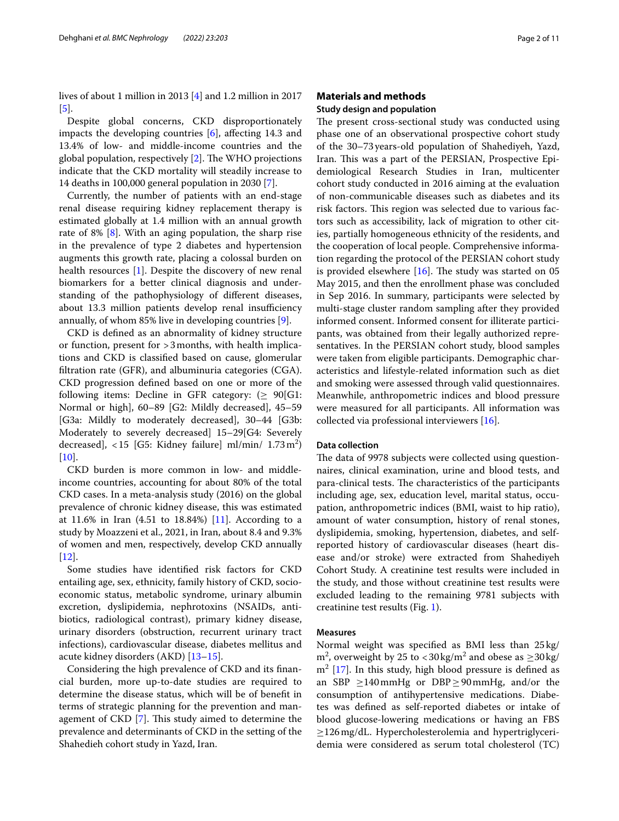lives of about 1 million in 2013 [\[4\]](#page-9-3) and 1.2 million in 2017 [[5\]](#page-9-4).

Despite global concerns, CKD disproportionately impacts the developing countries  $[6]$  $[6]$ , affecting 14.3 and 13.4% of low- and middle-income countries and the global population, respectively  $[2]$  $[2]$ . The WHO projections indicate that the CKD mortality will steadily increase to 14 deaths in 100,000 general population in 2030 [[7\]](#page-9-6).

Currently, the number of patients with an end-stage renal disease requiring kidney replacement therapy is estimated globally at 1.4 million with an annual growth rate of 8% [[8\]](#page-9-7). With an aging population, the sharp rise in the prevalence of type 2 diabetes and hypertension augments this growth rate, placing a colossal burden on health resources [\[1](#page-9-0)]. Despite the discovery of new renal biomarkers for a better clinical diagnosis and understanding of the pathophysiology of diferent diseases, about 13.3 million patients develop renal insufficiency annually, of whom 85% live in developing countries [\[9](#page-9-8)].

CKD is defned as an abnormality of kidney structure or function, present for >3months, with health implications and CKD is classifed based on cause, glomerular fltration rate (GFR), and albuminuria categories (CGA). CKD progression defned based on one or more of the following items: Decline in GFR category:  $(\geq 90)$ [G1: Normal or high], 60–89 [G2: Mildly decreased], 45–59 [G3a: Mildly to moderately decreased], 30–44 [G3b: Moderately to severely decreased] 15–29[G4: Severely decreased],  $<$  15 [G5: Kidney failure] ml/min/  $1.73 \text{ m}^2$ )  $[10]$  $[10]$ .

CKD burden is more common in low- and middleincome countries, accounting for about 80% of the total CKD cases. In a meta-analysis study (2016) on the global prevalence of chronic kidney disease, this was estimated at 11.6% in Iran (4.51 to 18.84%) [\[11\]](#page-9-10). According to a study by Moazzeni et al., 2021, in Iran, about 8.4 and 9.3% of women and men, respectively, develop CKD annually [[12\]](#page-9-11).

Some studies have identifed risk factors for CKD entailing age, sex, ethnicity, family history of CKD, socioeconomic status, metabolic syndrome, urinary albumin excretion, dyslipidemia, nephrotoxins (NSAIDs, antibiotics, radiological contrast), primary kidney disease, urinary disorders (obstruction, recurrent urinary tract infections), cardiovascular disease, diabetes mellitus and acute kidney disorders (AKD) [[13–](#page-9-12)[15](#page-9-13)].

Considering the high prevalence of CKD and its fnancial burden, more up-to-date studies are required to determine the disease status, which will be of beneft in terms of strategic planning for the prevention and management of  $CKD$  [\[7](#page-9-6)]. This study aimed to determine the prevalence and determinants of CKD in the setting of the Shahedieh cohort study in Yazd, Iran.

# **Materials and methods**

# **Study design and population**

The present cross-sectional study was conducted using phase one of an observational prospective cohort study of the 30–73years-old population of Shahediyeh, Yazd, Iran. This was a part of the PERSIAN, Prospective Epidemiological Research Studies in Iran, multicenter cohort study conducted in 2016 aiming at the evaluation of non-communicable diseases such as diabetes and its risk factors. This region was selected due to various factors such as accessibility, lack of migration to other cities, partially homogeneous ethnicity of the residents, and the cooperation of local people. Comprehensive information regarding the protocol of the PERSIAN cohort study is provided elsewhere  $[16]$  $[16]$ . The study was started on 05 May 2015, and then the enrollment phase was concluded in Sep 2016. In summary, participants were selected by multi-stage cluster random sampling after they provided informed consent. Informed consent for illiterate participants, was obtained from their legally authorized representatives. In the PERSIAN cohort study, blood samples were taken from eligible participants. Demographic characteristics and lifestyle-related information such as diet and smoking were assessed through valid questionnaires. Meanwhile, anthropometric indices and blood pressure were measured for all participants. All information was collected via professional interviewers [[16](#page-9-14)].

## **Data collection**

The data of 9978 subjects were collected using questionnaires, clinical examination, urine and blood tests, and para-clinical tests. The characteristics of the participants including age, sex, education level, marital status, occupation, anthropometric indices (BMI, waist to hip ratio), amount of water consumption, history of renal stones, dyslipidemia, smoking, hypertension, diabetes, and selfreported history of cardiovascular diseases (heart disease and/or stroke) were extracted from Shahediyeh Cohort Study. A creatinine test results were included in the study, and those without creatinine test results were excluded leading to the remaining 9781 subjects with creatinine test results (Fig. [1\)](#page-2-0).

## **Measures**

Normal weight was specifed as BMI less than 25kg/  $\text{m}^2$ , overweight by 25 to <30 kg/m<sup>2</sup> and obese as  $\geq$ 30 kg/  $m<sup>2</sup>$  [\[17\]](#page-9-15). In this study, high blood pressure is defined as an SBP  $\geq$ 140mmHg or DBP $\geq$ 90mmHg, and/or the consumption of antihypertensive medications. Diabetes was defned as self-reported diabetes or intake of blood glucose-lowering medications or having an FBS ≥126mg/dL. Hypercholesterolemia and hypertriglyceridemia were considered as serum total cholesterol (TC)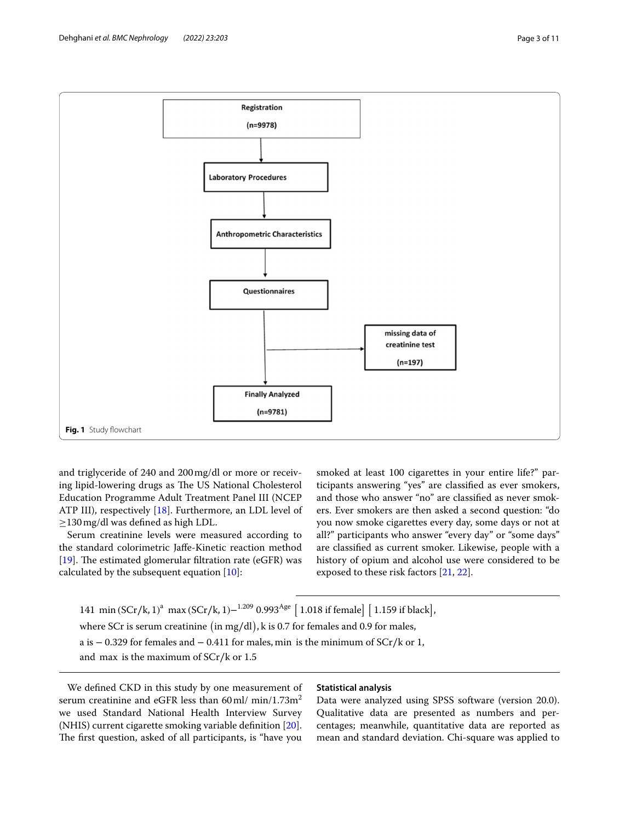

<span id="page-2-0"></span>and triglyceride of 240 and 200mg/dl or more or receiving lipid-lowering drugs as The US National Cholesterol Education Programme Adult Treatment Panel III (NCEP ATP III), respectively [[18\]](#page-9-16). Furthermore, an LDL level of ≥130mg/dl was defned as high LDL.

Serum creatinine levels were measured according to the standard colorimetric Jafe-Kinetic reaction method [[19\]](#page-9-17). The estimated glomerular filtration rate (eGFR) was calculated by the subsequent equation [[10\]](#page-9-9):

smoked at least 100 cigarettes in your entire life?" participants answering "yes" are classifed as ever smokers, and those who answer "no" are classifed as never smokers. Ever smokers are then asked a second question: "do you now smoke cigarettes every day, some days or not at all?" participants who answer "every day" or "some days" are classifed as current smoker. Likewise, people with a history of opium and alcohol use were considered to be exposed to these risk factors [[21,](#page-9-19) [22\]](#page-9-20).

141 min (SCr/k, 1)<sup>a</sup> max (SCr/k, 1)–<sup>1.209</sup> 0.993<sup>Age</sup> [1.018 if female] [1.159 if black], where SCr is serum creatinine ( in mg∕dl) , k is 0.7 for females and 0.9 for males, a is − 0.329 for females and − 0.411 for males, min is the minimum of SCr∕k or 1, and max is the maximum of SCr∕k or 1.5

We defned CKD in this study by one measurement of serum creatinine and eGFR less than  $60$  ml/ min/1.73m<sup>2</sup> we used Standard National Health Interview Survey (NHIS) current cigarette smoking variable defnition [\[20](#page-9-18)]. The first question, asked of all participants, is "have you

### **Statistical analysis**

Data were analyzed using SPSS software (version 20.0). Qualitative data are presented as numbers and percentages; meanwhile, quantitative data are reported as mean and standard deviation. Chi-square was applied to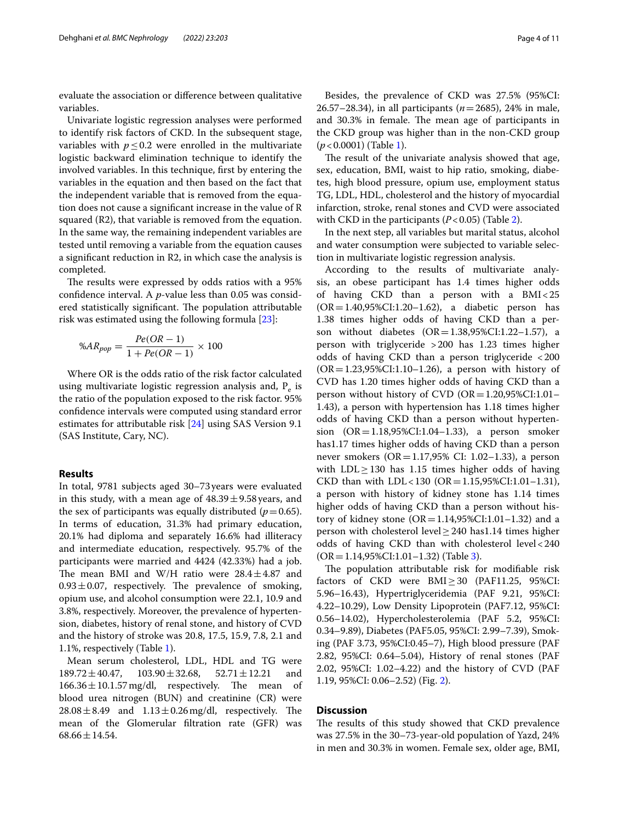evaluate the association or diference between qualitative variables.

Univariate logistic regression analyses were performed to identify risk factors of CKD. In the subsequent stage, variables with  $p \leq 0.2$  were enrolled in the multivariate logistic backward elimination technique to identify the involved variables. In this technique, frst by entering the variables in the equation and then based on the fact that the independent variable that is removed from the equation does not cause a signifcant increase in the value of R squared (R2), that variable is removed from the equation. In the same way, the remaining independent variables are tested until removing a variable from the equation causes a signifcant reduction in R2, in which case the analysis is completed.

The results were expressed by odds ratios with a 95% confdence interval. A *p*-value less than 0.05 was considered statistically significant. The population attributable risk was estimated using the following formula [[23\]](#page-9-21):

$$
\%AR_{pop} = \frac{Pe(OR - 1)}{1 + Pe(OR - 1)} \times 100
$$

Where OR is the odds ratio of the risk factor calculated using multivariate logistic regression analysis and,  $P_e$  is the ratio of the population exposed to the risk factor. 95% confdence intervals were computed using standard error estimates for attributable risk [[24\]](#page-9-22) using SAS Version 9.1 (SAS Institute, Cary, NC).

## **Results**

In total, 9781 subjects aged 30–73years were evaluated in this study, with a mean age of  $48.39 \pm 9.58$  years, and the sex of participants was equally distributed  $(p=0.65)$ . In terms of education, 31.3% had primary education, 20.1% had diploma and separately 16.6% had illiteracy and intermediate education, respectively. 95.7% of the participants were married and 4424 (42.33%) had a job. The mean BMI and W/H ratio were  $28.4 \pm 4.87$  and  $0.93 \pm 0.07$ , respectively. The prevalence of smoking, opium use, and alcohol consumption were 22.1, 10.9 and 3.8%, respectively. Moreover, the prevalence of hypertension, diabetes, history of renal stone, and history of CVD and the history of stroke was 20.8, 17.5, 15.9, 7.8, 2.1 and 1.1%, respectively (Table [1\)](#page-4-0).

Mean serum cholesterol, LDL, HDL and TG were  $189.72 \pm 40.47$ ,  $103.90 \pm 32.68$ ,  $52.71 \pm 12.21$  and  $166.36 \pm 10.1.57$  mg/dl. respectively. The mean of  $166.36 \pm 10.1.57$  mg/dl, respectively. The mean blood urea nitrogen (BUN) and creatinine (CR) were  $28.08 \pm 8.49$  and  $1.13 \pm 0.26$  mg/dl, respectively. The mean of the Glomerular fltration rate (GFR) was  $68.66 \pm 14.54$ .

Besides, the prevalence of CKD was 27.5% (95%CI: 26.57–28.34), in all participants (*n*=2685), 24% in male, and 30.3% in female. The mean age of participants in the CKD group was higher than in the non-CKD group (*p*<0.0001) (Table [1](#page-4-0)).

The result of the univariate analysis showed that age, sex, education, BMI, waist to hip ratio, smoking, diabetes, high blood pressure, opium use, employment status TG, LDL, HDL, cholesterol and the history of myocardial infarction, stroke, renal stones and CVD were associated with CKD in the participants  $(P<0.05)$  (Table [2](#page-5-0)).

In the next step, all variables but marital status, alcohol and water consumption were subjected to variable selection in multivariate logistic regression analysis.

According to the results of multivariate analysis, an obese participant has 1.4 times higher odds of having CKD than a person with a BMI<25  $(OR = 1.40, 95\% CI: 1.20 - 1.62)$ , a diabetic person has 1.38 times higher odds of having CKD than a person without diabetes  $(OR = 1.38, 95\% CI: 1.22 - 1.57)$ , a person with triglyceride >200 has 1.23 times higher odds of having CKD than a person triglyceride <200  $(OR = 1.23, 95\% CI: 1.10 - 1.26)$ , a person with history of CVD has 1.20 times higher odds of having CKD than a person without history of CVD ( $OR = 1.20,95\% CI:1.01-$ 1.43), a person with hypertension has 1.18 times higher odds of having CKD than a person without hypertension (OR=1.18,95%CI:1.04–1.33), a person smoker has1.17 times higher odds of having CKD than a person never smokers ( $OR = 1.17,95\%$  CI: 1.02–1.33), a person with  $LDL \geq 130$  has 1.15 times higher odds of having CKD than with LDL<130 (OR = 1.15,95%CI:1.01–1.31), a person with history of kidney stone has 1.14 times higher odds of having CKD than a person without history of kidney stone ( $OR = 1.14,95\% CI:1.01-1.32$ ) and a person with cholesterol level≥240 has1.14 times higher odds of having CKD than with cholesterol level<240 (OR=1.14,95%CI:1.01–1.32) (Table [3](#page-6-0)).

The population attributable risk for modifiable risk factors of CKD were BMI≥30 (PAF11.25, 95%CI: 5.96–16.43), Hypertriglyceridemia (PAF 9.21, 95%CI: 4.22–10.29), Low Density Lipoprotein (PAF7.12, 95%CI: 0.56–14.02), Hypercholesterolemia (PAF 5.2, 95%CI: 0.34–9.89), Diabetes (PAF5.05, 95%CI: 2.99–7.39), Smoking (PAF 3.73, 95%CI:0.45–7), High blood pressure (PAF 2.82, 95%CI: 0.64–5.04), History of renal stones (PAF 2.02, 95%CI: 1.02–4.22) and the history of CVD (PAF 1.19, 95%CI: 0.06–2.52) (Fig. [2](#page-6-1)).

#### **Discussion**

The results of this study showed that CKD prevalence was 27.5% in the 30–73-year-old population of Yazd, 24% in men and 30.3% in women. Female sex, older age, BMI,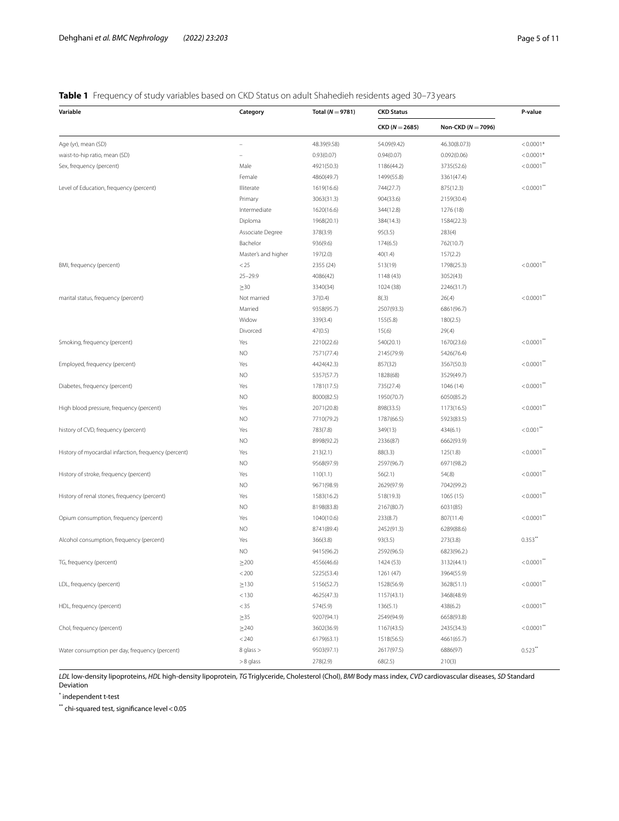# <span id="page-4-0"></span>**Table 1** Frequency of study variables based on CKD Status on adult Shahedieh residents aged 30–73 years

| Variable                                              | Category            | Total ( $N = 9781$ )     | <b>CKD Status</b>        |                          | P-value                  |
|-------------------------------------------------------|---------------------|--------------------------|--------------------------|--------------------------|--------------------------|
|                                                       |                     |                          | $CKD (N = 2685)$         | Non-CKD ( $N = 7096$ )   |                          |
| Age (yr), mean (SD)                                   |                     | 48.39(9.58)              | 54.09(9.42)              | 46.30(8.073)             | $< 0.0001*$              |
| waist-to-hip ratio, mean (SD)                         |                     | 0.93(0.07)               | 0.94(0.07)               | 0.092(0.06)              | $< 0.0001*$              |
| Sex, frequency (percent)                              | Male                | 4921(50.3)               | 1186(44.2)               | 3735(52.6)               | $< 0.0001$ **            |
|                                                       | Female              | 4860(49.7)               | 1499(55.8)               | 3361(47.4)               |                          |
| Level of Education, frequency (percent)               | Illiterate          | 1619(16.6)               | 744(27.7)                | 875(12.3)                | $< 0.0001$ <sup>**</sup> |
|                                                       | Primary             | 3063(31.3)               | 904(33.6)                | 2159(30.4)               |                          |
|                                                       | Intermediate        | 1620(16.6)               | 344(12.8)                | 1276 (18)                |                          |
|                                                       | Diploma             | 1968(20.1)               | 384(14.3)                | 1584(22.3)               |                          |
|                                                       | Associate Degree    | 378(3.9)                 | 95(3.5)                  | 283(4)                   |                          |
|                                                       | Bachelor            | 936(9.6)                 | 174(6.5)                 | 762(10.7)                |                          |
|                                                       | Master's and higher | 197(2.0)                 | 40(1.4)                  | 157(2.2)                 |                          |
| BMI, frequency (percent)                              | < 25                | 2355 (24)                | 513(19)                  | 1798(25.3)               | $< 0.0001$ **            |
|                                                       | $25 - 29.9$         | 4086(42)                 | 1148 (43)                | 3052(43)                 |                          |
|                                                       | $\geq 30$           | 3340(34)                 | 1024 (38)                | 2246(31.7)               |                          |
| marital status, frequency (percent)                   | Not married         | 37(0.4)                  | 8(.3)                    | 26(.4)                   | $< 0.0001$ **            |
|                                                       | Married             | 9358(95.7)               | 2507(93.3)               | 6861(96.7)               |                          |
|                                                       | Widow               | 339(3.4)                 | 155(5.8)                 | 180(2.5)                 |                          |
|                                                       | Divorced            | 47(0.5)                  | 15(.6)                   | 29(.4)                   |                          |
| Smoking, frequency (percent)                          | Yes                 | 2210(22.6)               | 540(20.1)                | 1670(23.6)               | $< 0.0001$ **            |
|                                                       | <b>NO</b>           | 7571(77.4)               | 2145(79.9)               | 5426(76.4)               |                          |
| Employed, frequency (percent)                         | Yes                 | 4424(42.3)               | 857(32)                  | 3567(50.3)               | $< 0.0001$ **            |
|                                                       | <b>NO</b>           | 5357(57.7)               | 1828(68)                 | 3529(49.7)               |                          |
| Diabetes, frequency (percent)                         | Yes                 | 1781(17.5)               | 735(27.4)                | 1046 (14)                | $< 0.0001$ <sup>**</sup> |
|                                                       | <b>NO</b>           | 8000(82.5)               | 1950(70.7)               | 6050(85.2)               |                          |
| High blood pressure, frequency (percent)              | Yes                 | 2071(20.8)               | 898(33.5)                | 1173(16.5)               | $< 0.0001$ **            |
|                                                       | NO                  | 7710(79.2)               | 1787(66.5)               | 5923(83.5)               |                          |
| history of CVD, frequency (percent)                   | Yes                 | 783(7.8)                 | 349(13)                  | 434(6.1)                 | $< 0.001$ **             |
|                                                       | <b>NO</b>           | 8998(92.2)               | 2336(87)                 | 6662(93.9)               |                          |
| History of myocardial infarction, frequency (percent) | Yes                 | 213(2.1)                 | 88(3.3)                  | 125(1.8)                 | $< 0.0001$ **            |
|                                                       | <b>NO</b>           | 9568(97.9)               | 2597(96.7)               | 6971(98.2)               |                          |
| History of stroke, frequency (percent)                | Yes                 | 110(1.1)                 | 56(2.1)                  | 54(.8)                   | $< 0.0001$ "             |
|                                                       | <b>NO</b>           | 9671(98.9)               | 2629(97.9)               | 7042(99.2)               |                          |
| History of renal stones, frequency (percent)          | Yes                 | 1583(16.2)               | 518(19.3)                | 1065 (15)                | $< 0.0001$ **            |
|                                                       | <b>NO</b>           | 8198(83.8)               | 2167(80.7)               | 6031(85)                 |                          |
| Opium consumption, frequency (percent)                | Yes                 | 1040(10.6)               | 233(8.7)                 | 807(11.4)                | < 0.0001                 |
|                                                       | NO                  | 8741(89.4)               | 2452(91.3)               | 6289(88.6)               |                          |
| Alcohol consumption, frequency (percent)              | Yes                 | 366(3.8)                 | 93(3.5)                  | 273(3.8)                 | $0.353$ **               |
|                                                       | <b>NO</b>           | 9415(96.2)               | 2592(96.5)               | 6823(96.2.)              |                          |
| TG, frequency (percent)                               | $\geq$ 200          | 4556(46.6)               | 1424 (53)                | 3132(44.1)               | < 0.0001                 |
|                                                       | $< 200$             | 5225(53.4)               | 1261 (47)                | 3964(55.9)               |                          |
|                                                       | $\geq$ 130          | 5156(52.7)               | 1528(56.9)               | 3628(51.1)               | $< 0.0001$ **            |
| LDL, frequency (percent)                              | < 130               | 4625(47.3)               | 1157(43.1)               | 3468(48.9)               |                          |
|                                                       | < 35                | 574(5.9)                 |                          | 438(6.2)                 | $< 0.0001$ <sup>**</sup> |
| HDL, frequency (percent)                              |                     |                          | 136(5.1)<br>2549(94.9)   |                          |                          |
| Chol, frequency (percent)                             | $\geq$ 35           | 9207(94.1)<br>3602(36.9) |                          | 6658(93.8)<br>2435(34.3) | $< 0.0001$ **            |
|                                                       | $\geq$ 240<br>< 240 |                          | 1167(43.5)               |                          |                          |
| Water consumption per day, frequency (percent)        | 8 glass >           | 6179(63.1)<br>9503(97.1) | 1518(56.5)<br>2617(97.5) | 4661(65.7)<br>6886(97)   | $0.523$ **               |
|                                                       |                     |                          |                          |                          |                          |
|                                                       | >8 glass            | 278(2.9)                 | 68(2.5)                  | 210(3)                   |                          |

*LDL* low-density lipoproteins, *HDL* high-density lipoprotein, *TG* Triglyceride, Cholesterol (Chol), *BMI* Body mass index, *CVD* cardiovascular diseases, *SD* Standard Deviation

\* independent t-test

 $**$  chi-squared test, significance level  $<$  0.05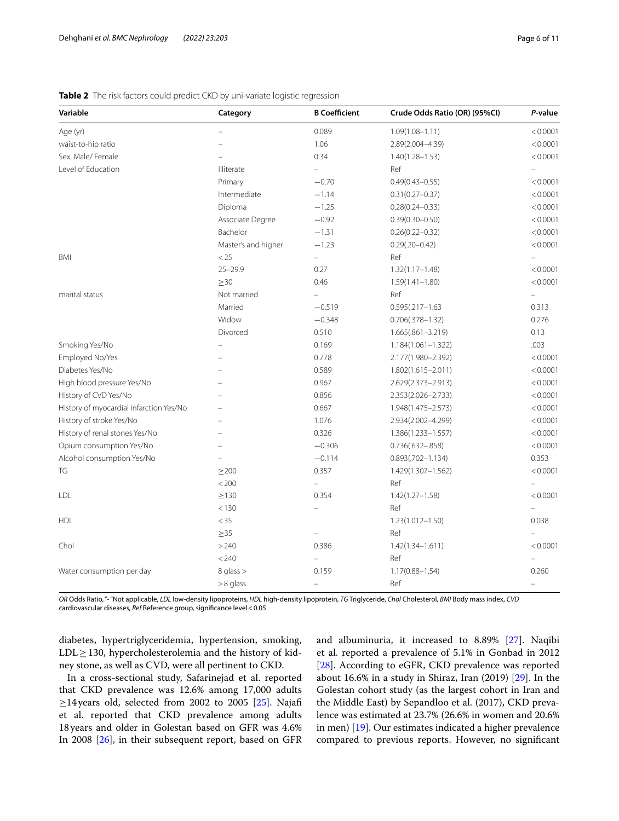| Variable                                | Category            | <b>B</b> Coefficient     | Crude Odds Ratio (OR) (95%CI) | P-value  |
|-----------------------------------------|---------------------|--------------------------|-------------------------------|----------|
| Age (yr)                                | $\overline{ }$      | 0.089                    | $1.09(1.08 - 1.11)$           | < 0.0001 |
| waist-to-hip ratio                      |                     | 1.06                     | 2.89(2.004-4.39)              | < 0.0001 |
| Sex, Male/ Female                       |                     | 0.34                     | $1.40(1.28 - 1.53)$           | < 0.0001 |
| Level of Education                      | Illiterate          | $\equiv$                 | Ref                           |          |
|                                         | Primary             | $-0.70$                  | $0.49(0.43 - 0.55)$           | < 0.0001 |
|                                         | Intermediate        | $-1.14$                  | $0.31(0.27 - 0.37)$           | < 0.0001 |
|                                         | Diploma             | $-1.25$                  | $0.28(0.24 - 0.33)$           | < 0.0001 |
|                                         | Associate Degree    | $-0.92$                  | $0.39(0.30 - 0.50)$           | < 0.0001 |
|                                         | Bachelor            | $-1.31$                  | $0.26(0.22 - 0.32)$           | < 0.0001 |
|                                         | Master's and higher | $-1.23$                  | $0.29(.20 - 0.42)$            | < 0.0001 |
| <b>BMI</b>                              | $<25\,$             | ÷,                       | Ref                           |          |
|                                         | $25 - 29.9$         | 0.27                     | $1.32(1.17 - 1.48)$           | < 0.0001 |
|                                         | $\geq 30$           | 0.46                     | $1.59(1.41 - 1.80)$           | < 0.0001 |
| marital status                          | Not married         |                          | Ref                           |          |
|                                         | Married             | $-0.519$                 | $0.595(.217 - 1.63)$          | 0.313    |
|                                         | Widow               | $-0.348$                 | $0.706(.378 - 1.32)$          | 0.276    |
|                                         | Divorced            | 0.510                    | $1.665(.861 - 3.219)$         | 0.13     |
| Smoking Yes/No                          |                     | 0.169                    | 1.184(1.061-1.322)            | .003     |
| Employed No/Yes                         |                     | 0.778                    | 2.177(1.980-2.392)            | < 0.0001 |
| Diabetes Yes/No                         |                     | 0.589                    | $1.802(1.615 - 2.011)$        | < 0.0001 |
| High blood pressure Yes/No              |                     | 0.967                    | 2.629(2.373-2.913)            | < 0.0001 |
| History of CVD Yes/No                   |                     | 0.856                    | 2.353(2.026-2.733)            | < 0.0001 |
| History of myocardial infarction Yes/No |                     | 0.667                    | 1.948(1.475-2.573)            | < 0.0001 |
| History of stroke Yes/No                |                     | 1.076                    | 2.934(2.002-4.299)            | < 0.0001 |
| History of renal stones Yes/No          |                     | 0.326                    | 1.386(1.233-1.557)            | < 0.0001 |
| Opium consumption Yes/No                |                     | $-0.306$                 | $0.736(.632 - .858)$          | < 0.0001 |
| Alcohol consumption Yes/No              | $\equiv$            | $-0.114$                 | $0.893(.702 - 1.134)$         | 0.353    |
| TG                                      | $\geq$ 200          | 0.357                    | 1.429(1.307-1.562)            | < 0.0001 |
|                                         | $< 200$             |                          | Ref                           |          |
| LDL                                     | $\geq$ 130          | 0.354                    | $1.42(1.27 - 1.58)$           | < 0.0001 |
|                                         | < 130               |                          | Ref                           |          |
| <b>HDL</b>                              | $<$ 35              |                          | $1.23(1.012 - 1.50)$          | 0.038    |
|                                         | $\geq$ 35           | $\overline{\phantom{0}}$ | Ref                           |          |
| Chol                                    | >240                | 0.386                    | $1.42(1.34 - 1.611)$          | < 0.0001 |
|                                         | < 240               |                          | Ref                           |          |
| Water consumption per day               | 8 glass >           | 0.159                    | $1.17(0.88 - 1.54)$           | 0.260    |
|                                         | $>8$ glass          | $\equiv$                 | Ref                           |          |

<span id="page-5-0"></span>**Table 2** The risk factors could predict CKD by uni-variate logistic regression

*OR* Odds Ratio, "- "Not applicable, *LDL* low-density lipoproteins, *HDL* high-density lipoprotein, *TG* Triglyceride, *Chol* Cholesterol, *BMI* Body mass index, *CVD* cardiovascular diseases, *Ref* Reference group, signifcance level<0.05

diabetes, hypertriglyceridemia, hypertension, smoking,  $LDL \geq 130$ , hypercholesterolemia and the history of kidney stone, as well as CVD, were all pertinent to CKD.

In a cross-sectional study, Safarinejad et al. reported that CKD prevalence was 12.6% among 17,000 adults  $\geq$ 14 years old, selected from 2002 to 2005 [[25](#page-9-23)]. Najafi et al. reported that CKD prevalence among adults 18years and older in Golestan based on GFR was 4.6% In 2008 [\[26](#page-9-24)], in their subsequent report, based on GFR and albuminuria, it increased to 8.89% [[27](#page-9-25)]. Naqibi et al. reported a prevalence of 5.1% in Gonbad in 2012 [[28\]](#page-9-26). According to eGFR, CKD prevalence was reported about 16.6% in a study in Shiraz, Iran (2019) [[29](#page-9-27)]. In the Golestan cohort study (as the largest cohort in Iran and the Middle East) by Sepandloo et al. (2017), CKD prevalence was estimated at 23.7% (26.6% in women and 20.6% in men) [[19\]](#page-9-17). Our estimates indicated a higher prevalence compared to previous reports. However, no signifcant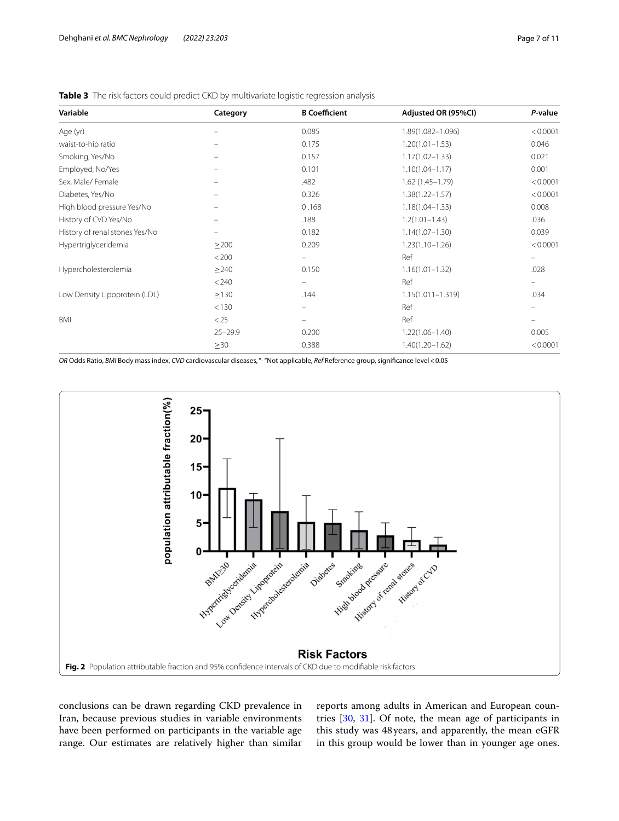| Variable                       | Category    | <b>B</b> Coefficient | Adjusted OR (95%CI)   | P-value                  |
|--------------------------------|-------------|----------------------|-----------------------|--------------------------|
| Age (yr)                       |             | 0.085                | 1.89(1.082-1.096)     | < 0.0001                 |
| waist-to-hip ratio             |             | 0.175                | $1.20(1.01 - 1.53)$   | 0.046                    |
| Smoking, Yes/No                |             | 0.157                | $1.17(1.02 - 1.33)$   | 0.021                    |
| Employed, No/Yes               |             | 0.101                | $1.10(1.04 - 1.17)$   | 0.001                    |
| Sex, Male/Female               |             | .482                 | $1.62(1.45 - 1.79)$   | < 0.0001                 |
| Diabetes, Yes/No               |             | 0.326                | $1.38(1.22 - 1.57)$   | < 0.0001                 |
| High blood pressure Yes/No     |             | 0.168                | $1.18(1.04 - 1.33)$   | 0.008                    |
| History of CVD Yes/No          |             | .188                 | $1.2(1.01 - 1.43)$    | .036                     |
| History of renal stones Yes/No |             | 0.182                | $1.14(1.07 - 1.30)$   | 0.039                    |
| Hypertriglyceridemia           | $\geq$ 200  | 0.209                | $1.23(1.10 - 1.26)$   | < 0.0001                 |
|                                | < 200       | $\qquad \qquad -$    | Ref                   | $\overline{\phantom{0}}$ |
| Hypercholesterolemia           | >240        | 0.150                | $1.16(1.01 - 1.32)$   | .028                     |
|                                | < 240       | $\qquad \qquad -$    | Ref                   | -                        |
| Low Density Lipoprotein (LDL)  | $\geq$ 130  | .144                 | $1.15(1.011 - 1.319)$ | .034                     |
|                                | < 130       |                      | Ref                   |                          |
| <b>BMI</b>                     | < 25        |                      | Ref                   |                          |
|                                | $25 - 29.9$ | 0.200                | $1.22(1.06 - 1.40)$   | 0.005                    |
|                                | $\geq$ 30   | 0.388                | $1.40(1.20 - 1.62)$   | < 0.0001                 |
|                                |             |                      |                       |                          |

<span id="page-6-0"></span>**Table 3** The risk factors could predict CKD by multivariate logistic regression analysis

*OR* Odds Ratio, *BMI* Body mass index, *CVD* cardiovascular diseases, "- "Not applicable, *Ref* Reference group, signifcance level<0.05



<span id="page-6-1"></span>conclusions can be drawn regarding CKD prevalence in Iran, because previous studies in variable environments have been performed on participants in the variable age range. Our estimates are relatively higher than similar

reports among adults in American and European countries [[30,](#page-9-28) [31\]](#page-9-29). Of note, the mean age of participants in this study was 48 years, and apparently, the mean eGFR in this group would be lower than in younger age ones.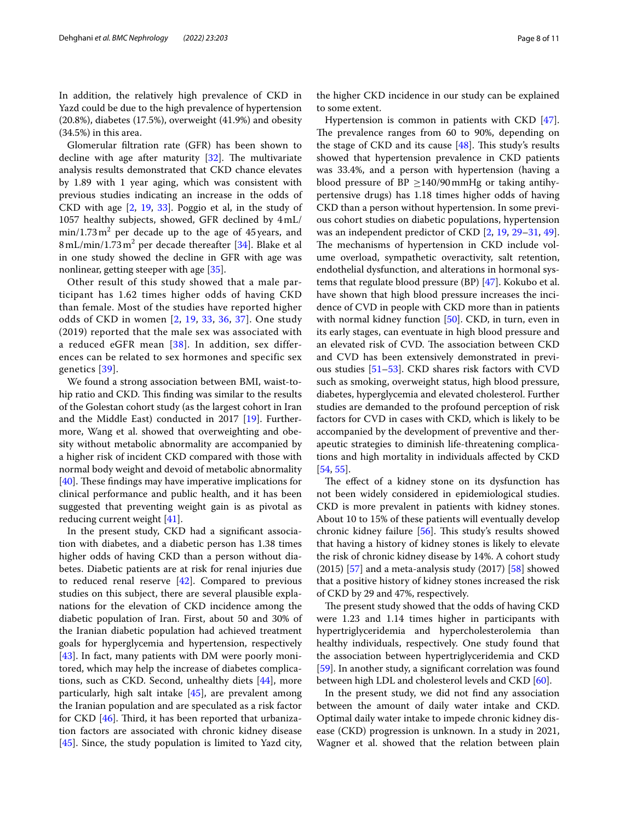In addition, the relatively high prevalence of CKD in Yazd could be due to the high prevalence of hypertension (20.8%), diabetes (17.5%), overweight (41.9%) and obesity (34.5%) in this area.

Glomerular fltration rate (GFR) has been shown to decline with age after maturity  $[32]$  $[32]$ . The multivariate analysis results demonstrated that CKD chance elevates by 1.89 with 1 year aging, which was consistent with previous studies indicating an increase in the odds of CKD with age [\[2](#page-9-1), [19](#page-9-17), [33](#page-9-31)]. Poggio et al, in the study of 1057 healthy subjects, showed, GFR declined by 4mL/  $min/1.73 m<sup>2</sup>$  per decade up to the age of 45 years, and 8 mL/min/1.73 m<sup>2</sup> per decade thereafter [\[34](#page-9-32)]. Blake et al in one study showed the decline in GFR with age was nonlinear, getting steeper with age [\[35](#page-9-33)].

Other result of this study showed that a male participant has 1.62 times higher odds of having CKD than female. Most of the studies have reported higher odds of CKD in women [\[2](#page-9-1), [19,](#page-9-17) [33,](#page-9-31) [36,](#page-9-34) [37\]](#page-9-35). One study (2019) reported that the male sex was associated with a reduced eGFR mean [[38\]](#page-9-36). In addition, sex differences can be related to sex hormones and specific sex genetics [[39](#page-9-37)].

We found a strong association between BMI, waist-tohip ratio and CKD. This finding was similar to the results of the Golestan cohort study (as the largest cohort in Iran and the Middle East) conducted in 2017 [\[19\]](#page-9-17). Furthermore, Wang et al. showed that overweighting and obesity without metabolic abnormality are accompanied by a higher risk of incident CKD compared with those with normal body weight and devoid of metabolic abnormality  $[40]$  $[40]$ . These findings may have imperative implications for clinical performance and public health, and it has been suggested that preventing weight gain is as pivotal as reducing current weight [[41\]](#page-9-39).

In the present study, CKD had a signifcant association with diabetes, and a diabetic person has 1.38 times higher odds of having CKD than a person without diabetes. Diabetic patients are at risk for renal injuries due to reduced renal reserve  $[42]$  $[42]$  $[42]$ . Compared to previous studies on this subject, there are several plausible explanations for the elevation of CKD incidence among the diabetic population of Iran. First, about 50 and 30% of the Iranian diabetic population had achieved treatment goals for hyperglycemia and hypertension, respectively [[43\]](#page-9-41). In fact, many patients with DM were poorly monitored, which may help the increase of diabetes complications, such as CKD. Second, unhealthy diets [\[44](#page-10-0)], more particularly, high salt intake [\[45](#page-10-1)], are prevalent among the Iranian population and are speculated as a risk factor for CKD  $[46]$  $[46]$  $[46]$ . Third, it has been reported that urbanization factors are associated with chronic kidney disease [[45\]](#page-10-1). Since, the study population is limited to Yazd city,

the higher CKD incidence in our study can be explained to some extent.

Hypertension is common in patients with CKD [\[47](#page-10-3)]. The prevalence ranges from 60 to 90%, depending on the stage of CKD and its cause  $[48]$  $[48]$ . This study's results showed that hypertension prevalence in CKD patients was 33.4%, and a person with hypertension (having a blood pressure of BP  $\geq$ 140/90 mmHg or taking antihypertensive drugs) has 1.18 times higher odds of having CKD than a person without hypertension. In some previous cohort studies on diabetic populations, hypertension was an independent predictor of CKD [\[2](#page-9-1), [19,](#page-9-17) [29–](#page-9-27)[31](#page-9-29), [49](#page-10-5)]. The mechanisms of hypertension in CKD include volume overload, sympathetic overactivity, salt retention, endothelial dysfunction, and alterations in hormonal systems that regulate blood pressure (BP) [[47\]](#page-10-3). Kokubo et al. have shown that high blood pressure increases the incidence of CVD in people with CKD more than in patients with normal kidney function [\[50\]](#page-10-6). CKD, in turn, even in its early stages, can eventuate in high blood pressure and an elevated risk of CVD. The association between CKD and CVD has been extensively demonstrated in previous studies [[51](#page-10-7)[–53](#page-10-8)]. CKD shares risk factors with CVD such as smoking, overweight status, high blood pressure, diabetes, hyperglycemia and elevated cholesterol. Further studies are demanded to the profound perception of risk factors for CVD in cases with CKD, which is likely to be accompanied by the development of preventive and therapeutic strategies to diminish life-threatening complications and high mortality in individuals afected by CKD [[54,](#page-10-9) [55](#page-10-10)].

The effect of a kidney stone on its dysfunction has not been widely considered in epidemiological studies. CKD is more prevalent in patients with kidney stones. About 10 to 15% of these patients will eventually develop chronic kidney failure [\[56](#page-10-11)]. This study's results showed that having a history of kidney stones is likely to elevate the risk of chronic kidney disease by 14%. A cohort study  $(2015)$  [[57](#page-10-12)] and a meta-analysis study  $(2017)$  [[58\]](#page-10-13) showed that a positive history of kidney stones increased the risk of CKD by 29 and 47%, respectively.

The present study showed that the odds of having CKD were 1.23 and 1.14 times higher in participants with hypertriglyceridemia and hypercholesterolemia than healthy individuals, respectively. One study found that the association between hypertriglyceridemia and CKD [[59\]](#page-10-14). In another study, a signifcant correlation was found between high LDL and cholesterol levels and CKD [[60\]](#page-10-15).

In the present study, we did not fnd any association between the amount of daily water intake and CKD. Optimal daily water intake to impede chronic kidney disease (CKD) progression is unknown. In a study in 2021, Wagner et al. showed that the relation between plain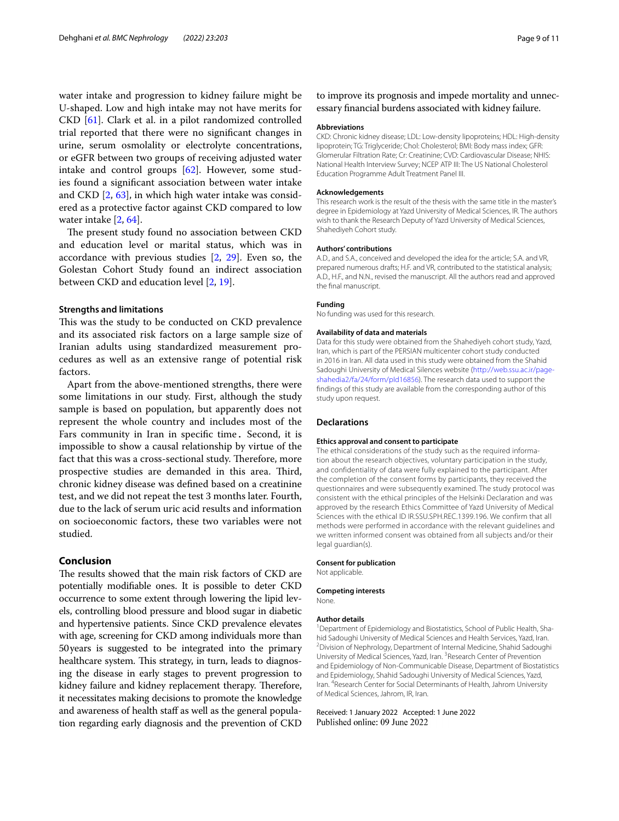water intake and progression to kidney failure might be U-shaped. Low and high intake may not have merits for CKD [\[61](#page-10-16)]. Clark et al. in a pilot randomized controlled trial reported that there were no signifcant changes in urine, serum osmolality or electrolyte concentrations, or eGFR between two groups of receiving adjusted water intake and control groups [\[62](#page-10-17)]. However, some studies found a signifcant association between water intake and CKD [\[2](#page-9-1), [63](#page-10-18)], in which high water intake was considered as a protective factor against CKD compared to low water intake [\[2](#page-9-1), [64\]](#page-10-19).

The present study found no association between CKD and education level or marital status, which was in accordance with previous studies [\[2,](#page-9-1) [29\]](#page-9-27). Even so, the Golestan Cohort Study found an indirect association between CKD and education level [\[2](#page-9-1), [19\]](#page-9-17).

## **Strengths and limitations**

This was the study to be conducted on CKD prevalence and its associated risk factors on a large sample size of Iranian adults using standardized measurement procedures as well as an extensive range of potential risk factors.

Apart from the above-mentioned strengths, there were some limitations in our study. First, although the study sample is based on population, but apparently does not represent the whole country and includes most of the Fars community in Iran in specifc time. Second, it is impossible to show a causal relationship by virtue of the fact that this was a cross-sectional study. Therefore, more prospective studies are demanded in this area. Third, chronic kidney disease was defned based on a creatinine test, and we did not repeat the test 3 months later. Fourth, due to the lack of serum uric acid results and information on socioeconomic factors, these two variables were not studied.

## **Conclusion**

The results showed that the main risk factors of CKD are potentially modifable ones. It is possible to deter CKD occurrence to some extent through lowering the lipid levels, controlling blood pressure and blood sugar in diabetic and hypertensive patients. Since CKD prevalence elevates with age, screening for CKD among individuals more than 50years is suggested to be integrated into the primary healthcare system. This strategy, in turn, leads to diagnosing the disease in early stages to prevent progression to kidney failure and kidney replacement therapy. Therefore, it necessitates making decisions to promote the knowledge and awareness of health staff as well as the general population regarding early diagnosis and the prevention of CKD to improve its prognosis and impede mortality and unnecessary fnancial burdens associated with kidney failure.

#### **Abbreviations**

CKD: Chronic kidney disease; LDL: Low-density lipoproteins; HDL: High-density lipoprotein; TG: Triglyceride; Chol: Cholesterol; BMI: Body mass index; GFR: Glomerular Filtration Rate; Cr: Creatinine; CVD: Cardiovascular Disease; NHIS: National Health Interview Survey; NCEP ATP III: The US National Cholesterol Education Programme Adult Treatment Panel III.

#### **Acknowledgements**

This research work is the result of the thesis with the same title in the master's degree in Epidemiology at Yazd University of Medical Sciences, IR. The authors wish to thank the Research Deputy of Yazd University of Medical Sciences, Shahediyeh Cohort study.

#### **Authors' contributions**

A.D., and S.A., conceived and developed the idea for the article; S.A. and VR, prepared numerous drafts; H.F. and VR, contributed to the statistical analysis; A.D., H.F., and N.N., revised the manuscript. All the authors read and approved the fnal manuscript.

#### **Funding**

No funding was used for this research.

#### **Availability of data and materials**

Data for this study were obtained from the Shahediyeh cohort study, Yazd, Iran, which is part of the PERSIAN multicenter cohort study conducted in 2016 in Iran. All data used in this study were obtained from the Shahid Sadoughi University of Medical Silences website [\(http://web.ssu.ac.ir/page](http://web.ssu.ac.ir/page-shahedia2/fa/24/form/pId16856)[shahedia2/fa/24/form/pId16856](http://web.ssu.ac.ir/page-shahedia2/fa/24/form/pId16856)). The research data used to support the fndings of this study are available from the corresponding author of this study upon request.

#### **Declarations**

#### **Ethics approval and consent to participate**

The ethical considerations of the study such as the required information about the research objectives, voluntary participation in the study, and confidentiality of data were fully explained to the participant. After the completion of the consent forms by participants, they received the questionnaires and were subsequently examined. The study protocol was consistent with the ethical principles of the Helsinki Declaration and was approved by the research Ethics Committee of Yazd University of Medical Sciences with the ethical ID IR.SSU.SPH.REC.1399.196. We confirm that all methods were performed in accordance with the relevant quidelines and we written informed consent was obtained from all subjects and/or their legal guardian(s).

#### **Consent for publication**

Not applicable.

#### **Competing interests**

None.

#### **Author details**

<sup>1</sup> Department of Epidemiology and Biostatistics, School of Public Health, Shahid Sadoughi University of Medical Sciences and Health Services, Yazd, Iran. 2 Division of Nephrology, Department of Internal Medicine, Shahid Sadoughi University of Medical Sciences, Yazd, Iran. <sup>3</sup> Research Center of Prevention and Epidemiology of Non-Communicable Disease, Department of Biostatistics and Epidemiology, Shahid Sadoughi University of Medical Sciences, Yazd, Iran. <sup>4</sup> Research Center for Social Determinants of Health, Jahrom University of Medical Sciences, Jahrom, IR, Iran.

#### Received: 1 January 2022 Accepted: 1 June 2022Published online: 09 June 2022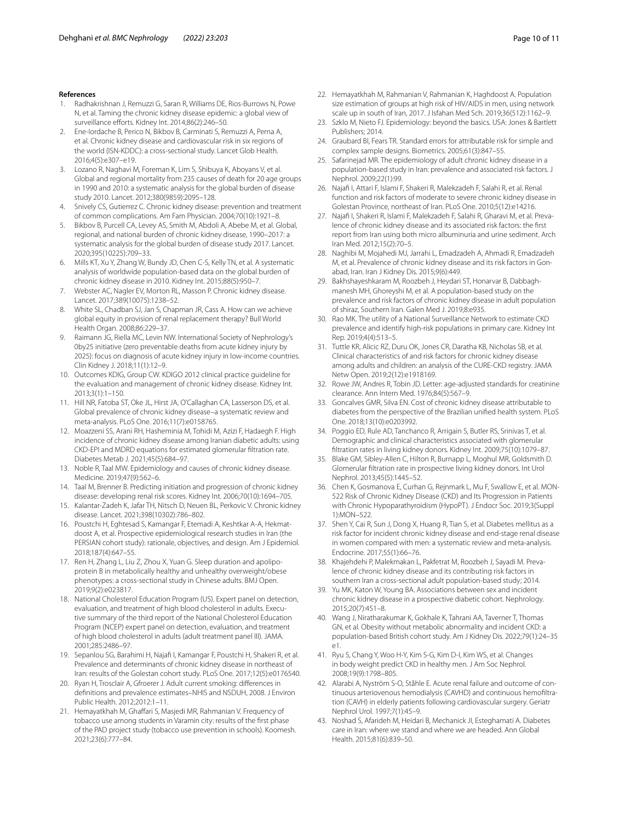#### **References**

- <span id="page-9-0"></span>1. Radhakrishnan J, Remuzzi G, Saran R, Williams DE, Rios-Burrows N, Powe N, et al. Taming the chronic kidney disease epidemic: a global view of surveillance efforts. Kidney Int. 2014;86(2):246-50.
- <span id="page-9-1"></span>2. Ene-Iordache B, Perico N, Bikbov B, Carminati S, Remuzzi A, Perna A, et al. Chronic kidney disease and cardiovascular risk in six regions of the world (ISN-KDDC): a cross-sectional study. Lancet Glob Health. 2016;4(5):e307–e19.
- <span id="page-9-2"></span>Lozano R, Naghavi M, Foreman K, Lim S, Shibuya K, Aboyans V, et al. Global and regional mortality from 235 causes of death for 20 age groups in 1990 and 2010: a systematic analysis for the global burden of disease study 2010. Lancet. 2012;380(9859):2095–128.
- <span id="page-9-3"></span>4. Snively CS, Gutierrez C. Chronic kidney disease: prevention and treatment of common complications. Am Fam Physician. 2004;70(10):1921–8.
- <span id="page-9-4"></span>5. Bikbov B, Purcell CA, Levey AS, Smith M, Abdoli A, Abebe M, et al. Global, regional, and national burden of chronic kidney disease, 1990–2017: a systematic analysis for the global burden of disease study 2017. Lancet. 2020;395(10225):709–33.
- <span id="page-9-5"></span>6. Mills KT, Xu Y, Zhang W, Bundy JD, Chen C-S, Kelly TN, et al. A systematic analysis of worldwide population-based data on the global burden of chronic kidney disease in 2010. Kidney Int. 2015;88(5):950–7.
- <span id="page-9-6"></span>7. Webster AC, Nagler EV, Morton RL, Masson P. Chronic kidney disease. Lancet. 2017;389(10075):1238–52.
- <span id="page-9-7"></span>8. White SL, Chadban SJ, Jan S, Chapman JR, Cass A. How can we achieve global equity in provision of renal replacement therapy? Bull World Health Organ. 2008;86:229–37.
- <span id="page-9-8"></span>9. Raimann JG, Riella MC, Levin NW. International Society of Nephrology's 0by25 initiative (zero preventable deaths from acute kidney injury by 2025): focus on diagnosis of acute kidney injury in low-income countries. Clin Kidney J. 2018;11(1):12–9.
- <span id="page-9-9"></span>10. Outcomes KDIG, Group CW. KDIGO 2012 clinical practice guideline for the evaluation and management of chronic kidney disease. Kidney Int. 2013;3(1):1–150.
- <span id="page-9-10"></span>11. Hill NR, Fatoba ST, Oke JL, Hirst JA, O'Callaghan CA, Lasserson DS, et al. Global prevalence of chronic kidney disease–a systematic review and meta-analysis. PLoS One. 2016;11(7):e0158765.
- <span id="page-9-11"></span>12. Moazzeni SS, Arani RH, Hasheminia M, Tohidi M, Azizi F, Hadaegh F. High incidence of chronic kidney disease among Iranian diabetic adults: using CKD-EPI and MDRD equations for estimated glomerular fltration rate. Diabetes Metab J. 2021;45(5):684–97.
- <span id="page-9-12"></span>13. Noble R, Taal MW. Epidemiology and causes of chronic kidney disease. Medicine. 2019;47(9):562–6.
- 14. Taal M, Brenner B. Predicting initiation and progression of chronic kidney disease: developing renal risk scores. Kidney Int. 2006;70(10):1694–705.
- <span id="page-9-13"></span>15. Kalantar-Zadeh K, Jafar TH, Nitsch D, Neuen BL, Perkovic V. Chronic kidney disease. Lancet. 2021;398(10302):786–802.
- <span id="page-9-14"></span>16. Poustchi H, Eghtesad S, Kamangar F, Etemadi A, Keshtkar A-A, Hekmatdoost A, et al. Prospective epidemiological research studies in Iran (the PERSIAN cohort study): rationale, objectives, and design. Am J Epidemiol. 2018;187(4):647–55.
- <span id="page-9-15"></span>17. Ren H, Zhang L, Liu Z, Zhou X, Yuan G. Sleep duration and apolipoprotein B in metabolically healthy and unhealthy overweight/obese phenotypes: a cross-sectional study in Chinese adults. BMJ Open. 2019;9(2):e023817.
- <span id="page-9-16"></span>18. National Cholesterol Education Program (US). Expert panel on detection, evaluation, and treatment of high blood cholesterol in adults. Executive summary of the third report of the National Cholesterol Education Program (NCEP) expert panel on detection, evaluation, and treatment of high blood cholesterol in adults (adult treatment panel III). JAMA. 2001;285:2486–97.
- <span id="page-9-17"></span>19. Sepanlou SG, Barahimi H, Najaf I, Kamangar F, Poustchi H, Shakeri R, et al. Prevalence and determinants of chronic kidney disease in northeast of Iran: results of the Golestan cohort study. PLoS One. 2017;12(5):e0176540.
- <span id="page-9-18"></span>20. Ryan H, Trosclair A, Gfroerer J. Adult current smoking: diferences in defnitions and prevalence estimates–NHIS and NSDUH, 2008. J Environ Public Health. 2012;2012:1–11.
- <span id="page-9-19"></span>21. Hemayatkhah M, Ghaffari S, Masjedi MR, Rahmanian V. Frequency of tobacco use among students in Varamin city: results of the frst phase of the PAD project study (tobacco use prevention in schools). Koomesh. 2021;23(6):777–84.
- <span id="page-9-20"></span>22. Hemayatkhah M, Rahmanian V, Rahmanian K, Haghdoost A. Population size estimation of groups at high risk of HIV/AIDS in men, using network scale up in south of Iran, 2017. J Isfahan Med Sch. 2019;36(512):1162–9.
- <span id="page-9-21"></span>23. Szklo M, Nieto FJ. Epidemiology: beyond the basics. USA: Jones & Bartlett Publishers; 2014.
- <span id="page-9-22"></span>24. Graubard BI, Fears TR. Standard errors for attributable risk for simple and complex sample designs. Biometrics. 2005;61(3):847–55.
- <span id="page-9-23"></span>25. Safarinejad MR. The epidemiology of adult chronic kidney disease in a population-based study in Iran: prevalence and associated risk factors. J Nephrol. 2009;22(1):99.
- <span id="page-9-24"></span>26. Najaf I, Attari F, Islami F, Shakeri R, Malekzadeh F, Salahi R, et al. Renal function and risk factors of moderate to severe chronic kidney disease in Golestan Province, northeast of Iran. PLoS One. 2010;5(12):e14216.
- <span id="page-9-25"></span>27. Najaf I, Shakeri R, Islami F, Malekzadeh F, Salahi R, Gharavi M, et al. Prevalence of chronic kidney disease and its associated risk factors: the frst report from Iran using both micro albuminuria and urine sediment. Arch Iran Med. 2012;15(2):70–5.
- <span id="page-9-26"></span>28. Naghibi M, Mojahedi MJ, Jarrahi L, Emadzadeh A, Ahmadi R, Emadzadeh M, et al. Prevalence of chronic kidney disease and its risk factors in Gonabad, Iran. Iran J Kidney Dis. 2015;9(6):449.
- <span id="page-9-27"></span>29. Bakhshayeshkaram M, Roozbeh J, Heydari ST, Honarvar B, Dabbaghmanesh MH, Ghoreyshi M, et al. A population-based study on the prevalence and risk factors of chronic kidney disease in adult population of shiraz, Southern Iran. Galen Med J. 2019;8:e935.
- <span id="page-9-28"></span>30. Rao MK. The utility of a National Surveillance Network to estimate CKD prevalence and identify high-risk populations in primary care. Kidney Int Rep. 2019;4(4):513–5.
- <span id="page-9-29"></span>31. Tuttle KR, Alicic RZ, Duru OK, Jones CR, Daratha KB, Nicholas SB, et al. Clinical characteristics of and risk factors for chronic kidney disease among adults and children: an analysis of the CURE-CKD registry. JAMA Netw Open. 2019;2(12):e1918169.
- <span id="page-9-30"></span>32. Rowe JW, Andres R, Tobin JD. Letter: age-adjusted standards for creatinine clearance. Ann Intern Med. 1976;84(5):567–9.
- <span id="page-9-31"></span>33. Goncalves GMR, Silva EN. Cost of chronic kidney disease attributable to diabetes from the perspective of the Brazilian unifed health system. PLoS One. 2018;13(10):e0203992.
- <span id="page-9-32"></span>34. Poggio ED, Rule AD, Tanchanco R, Arrigain S, Butler RS, Srinivas T, et al. Demographic and clinical characteristics associated with glomerular fltration rates in living kidney donors. Kidney Int. 2009;75(10):1079–87.
- <span id="page-9-33"></span>35. Blake GM, Sibley-Allen C, Hilton R, Burnapp L, Moghul MR, Goldsmith D. Glomerular fltration rate in prospective living kidney donors. Int Urol Nephrol. 2013;45(5):1445–52.
- <span id="page-9-34"></span>36. Chen K, Gosmanova E, Curhan G, Rejnmark L, Mu F, Swallow E, et al. MON-522 Risk of Chronic Kidney Disease (CKD) and Its Progression in Patients with Chronic Hypoparathyroidism (HypoPT). J Endocr Soc. 2019;3(Suppl 1):MON–522.
- <span id="page-9-35"></span>37. Shen Y, Cai R, Sun J, Dong X, Huang R, Tian S, et al. Diabetes mellitus as a risk factor for incident chronic kidney disease and end-stage renal disease in women compared with men: a systematic review and meta-analysis. Endocrine. 2017;55(1):66–76.
- <span id="page-9-36"></span>38. Khajehdehi P, Malekmakan L, Pakfetrat M, Roozbeh J, Sayadi M. Prevalence of chronic kidney disease and its contributing risk factors in southern Iran a cross-sectional adult population-based study; 2014.
- <span id="page-9-37"></span>39. Yu MK, Katon W, Young BA. Associations between sex and incident chronic kidney disease in a prospective diabetic cohort. Nephrology. 2015;20(7):451–8.
- <span id="page-9-38"></span>40. Wang J, Niratharakumar K, Gokhale K, Tahrani AA, Taverner T, Thomas GN, et al. Obesity without metabolic abnormality and incident CKD: a population-based British cohort study. Am J Kidney Dis. 2022;79(1):24–35 e1.
- <span id="page-9-39"></span>41. Ryu S, Chang Y, Woo H-Y, Kim S-G, Kim D-I, Kim WS, et al. Changes in body weight predict CKD in healthy men. J Am Soc Nephrol. 2008;19(9):1798–805.
- <span id="page-9-40"></span>42. Alarabi A, Nyström S-O, Ståhle E. Acute renal failure and outcome of continuous arteriovenous hemodialysis (CAVHD) and continuous hemofltration (CAVH) in elderly patients following cardiovascular surgery. Geriatr Nephrol Urol. 1997;7(1):45–9.
- <span id="page-9-41"></span>43. Noshad S, Afarideh M, Heidari B, Mechanick JI, Esteghamati A. Diabetes care in Iran: where we stand and where we are headed. Ann Global Health. 2015;81(6):839–50.